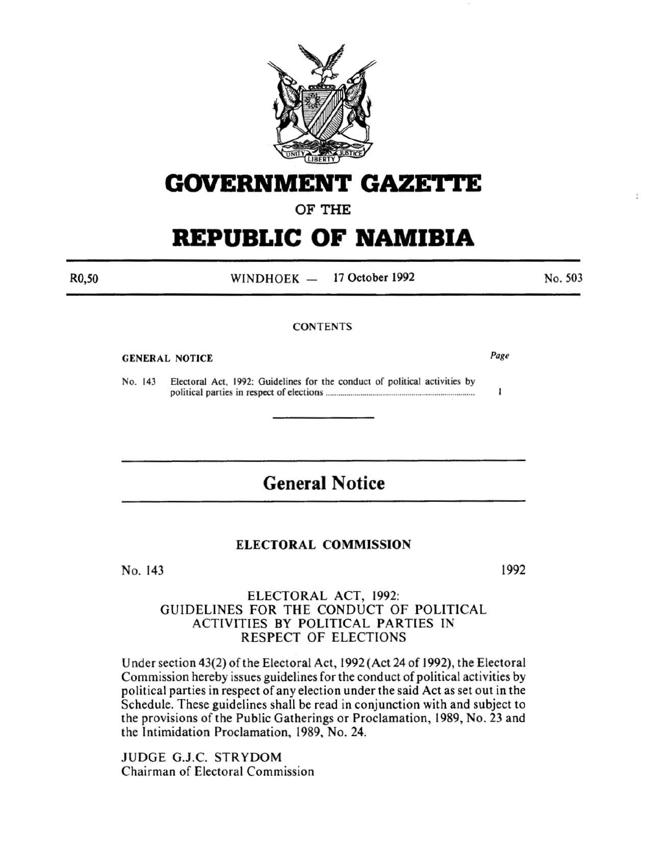

# **GOVERNMENT GAZETTE**

# OF THE

# **REPUBLIC OF NAMIBIA**

WINDHOEK - 17 October 1992

No. 503

ÿ.

### **CONTENTS**

#### GENERAL NOTICE

Page

 $\mathbf{I}$ 

No. 143 Electoral Act, 1992: Guidelines for the conduct of political activities by political parties in respect of elections ........................................................................ .

# **General Notice**

### ELECTORAL COMMISSION

No. 143

1992

## ELECTORAL ACT, 1992: GUIDELINES FOR THE CONDUCT OF POLITICAL ACTIVITIES BY POLITICAL PARTIES IN RESPECT OF ELECTIONS

Under section 43(2) of the Electoral Act, 1992 (Act 24 of 1992), the Electoral Commission hereby issues guidelines for the conduct of political activities by political parties in respect of any election under the said Act as set out in the Schedule. These guidelines shall be read in conjunction with and subject to the provisions of the Public Gatherings or Proclamation, 1989, No. 23 and the Intimidation Proclamation, 1989, No. 24.

JUDGE G.J.C. STRYDOM Chairman of Electoral Commission

R0,50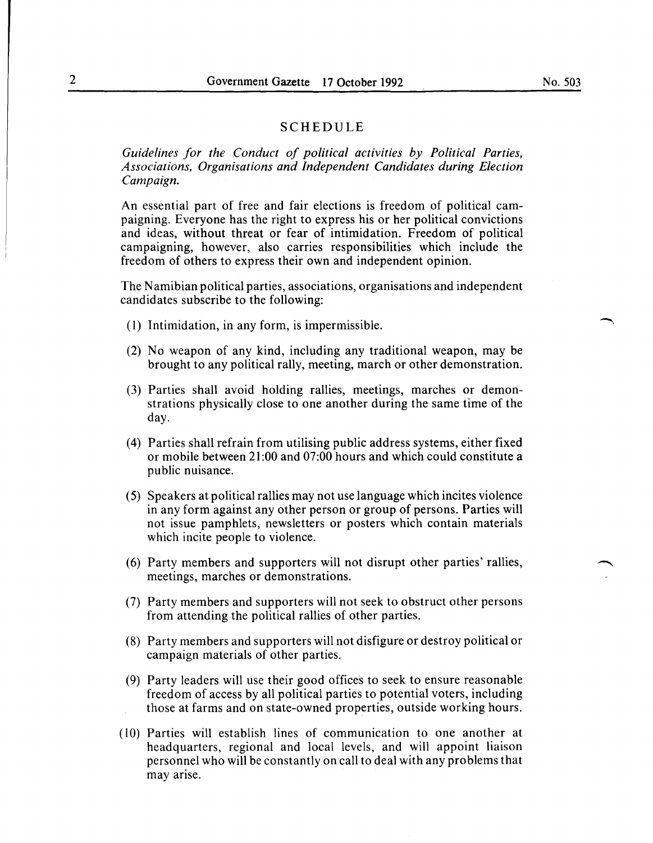#### SCHEDULE

*Guidelines for the Conduct of political activities by Political Parties, Associations, Organisations and Independent Candidates during Election Campaign.* 

An essential part of free and fair elections is freedom of political campaigning. Everyone has the right to express his or her political convictions and ideas, without threat or fear of intimidation. Freedom of political campaigning, however, also carries responsibilities which include the freedom of others to express their own and independent opinion.

The Namibian political parties, associations, organisations and independent candidates subscribe to the following:

- ( 1) Intimidation, in any form, is impermissible.
- (2) No weapon of any kind, including any traditional weapon, may be brought to any political rally, meeting, march or other demonstration.
- (3) Parties shall avoid holding rallies, meetings, marches or demonstrations physically close to one another during the same time of the day.
- (4) Parties shall refrain from utilising public address systems, either fixed or mobile between 21:00 and 07:00 hours and which could constitute a public nuisance.
- (5) Speakers at political rallies may not use language which incites violence in any form against any other person or group of persons. Parties will not issue pamphlets, newsletters or posters which contain materials which incite people to violence.
- (6) Party members and supporters will not disrupt other parties' rallies, meetings, marches or demonstrations.
- (7) Party members and supporters will not seek to obstruct other persons from attending the political rallies of other parties.
- (8) Party members and supporters will not disfigure or destroy political or campaign materials of other parties.
- (9) Party leaders will use their good offices to seek to ensure reasonable freedom of access by all political parties to potential voters, including those at farms and on state-owned properties, outside working hours.
- (10) Parties will establish lines of communication to one another at headquarters, regional and local levels, and will appoint liaison personnel who will be constantly on call to deal with any problems that may arise.